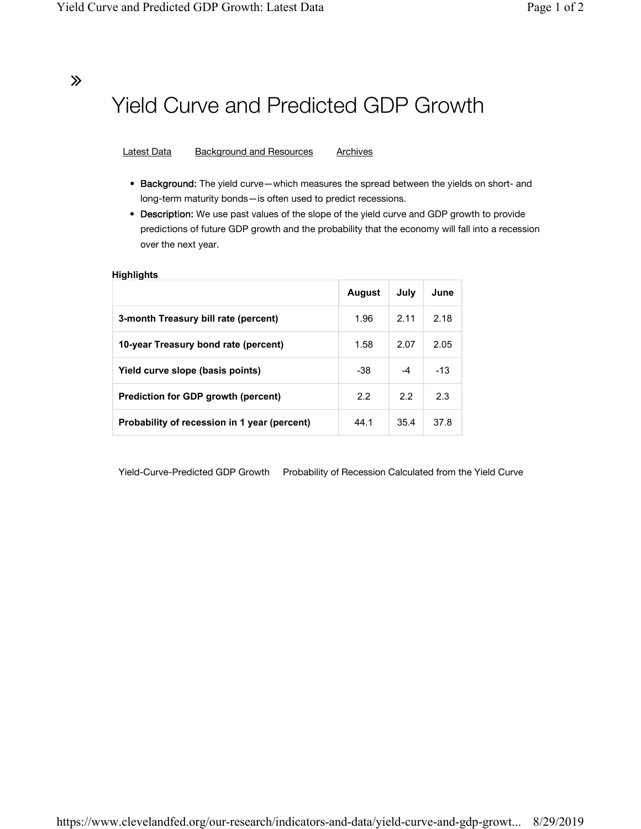### ∠

# Yield Curve and Predicted GDP Growth

Latest Data Background and Resources Archives

- Background: The yield curve—which measures the spread between the yields on short- and long-term maturity bonds—is often used to predict recessions.
- Description: We use past values of the slope of the yield curve and GDP growth to provide predictions of future GDP growth and the probability that the economy will fall into a recession over the next year.

#### **Highlights**

|                                              | <b>August</b> | July | June  |
|----------------------------------------------|---------------|------|-------|
| 3-month Treasury bill rate (percent)         | 1.96          | 2.11 | 2.18  |
| 10-year Treasury bond rate (percent)         | 1.58          | 2.07 | 2.05  |
| Yield curve slope (basis points)             | $-38$         | -4   | $-13$ |
| <b>Prediction for GDP growth (percent)</b>   | 2.2           | 2.2  | 2.3   |
| Probability of recession in 1 year (percent) | 44.1          | 35.4 | 37.8  |

Yield-Curve-Predicted GDP Growth Probability of Recession Calculated from the Yield Curve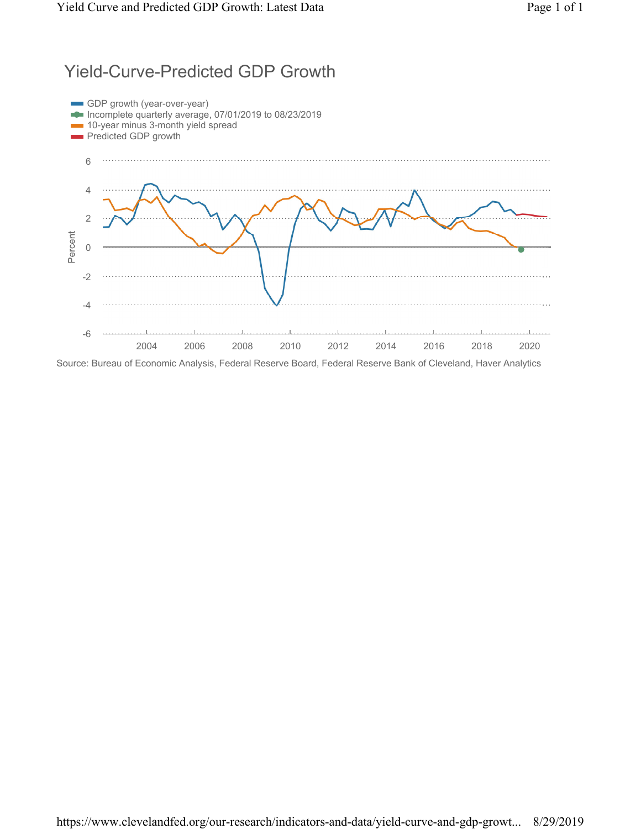### Yield-Curve-Predicted GDP Growth

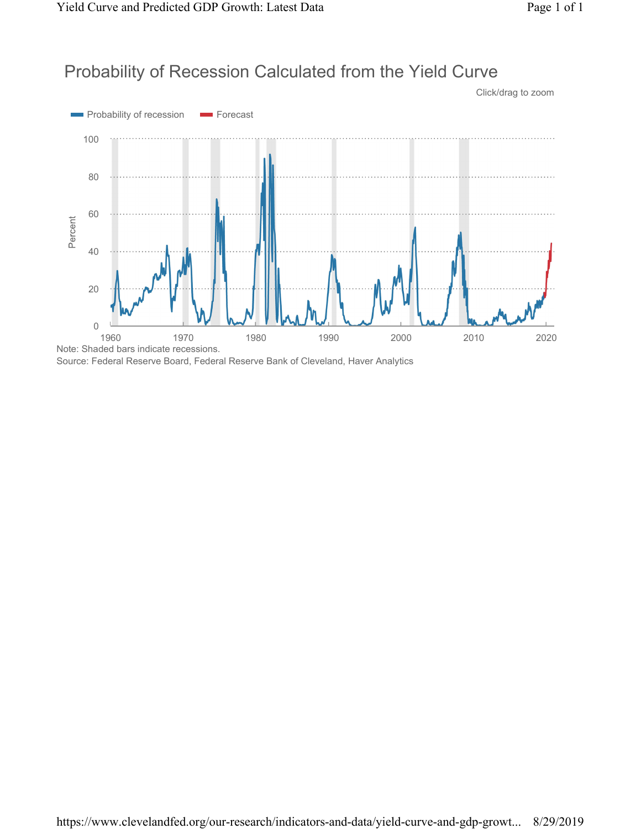Click/drag to zoom

## Probability of Recession Calculated from the Yield Curve



Source: Federal Reserve Board, Federal Reserve Bank of Cleveland, Haver Analytics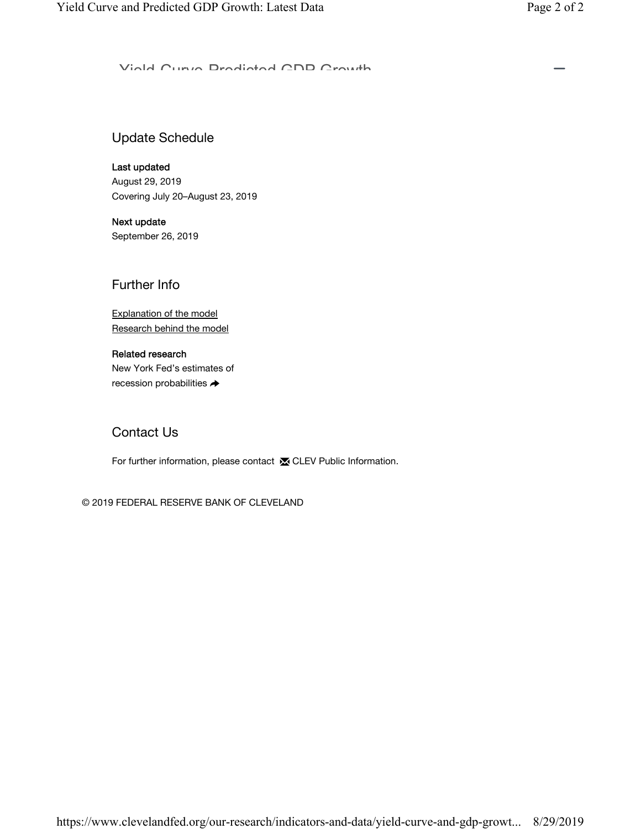Viald Curve Dradistad CDD Crowth

### Update Schedule

Last updated August 29, 2019 Covering July 20–August 23, 2019

Next update September 26, 2019

Further Info

Explanation of the model Research behind the model

### Related research

New York Fed's estimates of recession probabilities  $\rightarrow$ 

### Contact Us

For further information, please contact **x** CLEV Public Information.

© 2019 FEDERAL RESERVE BANK OF CLEVELAND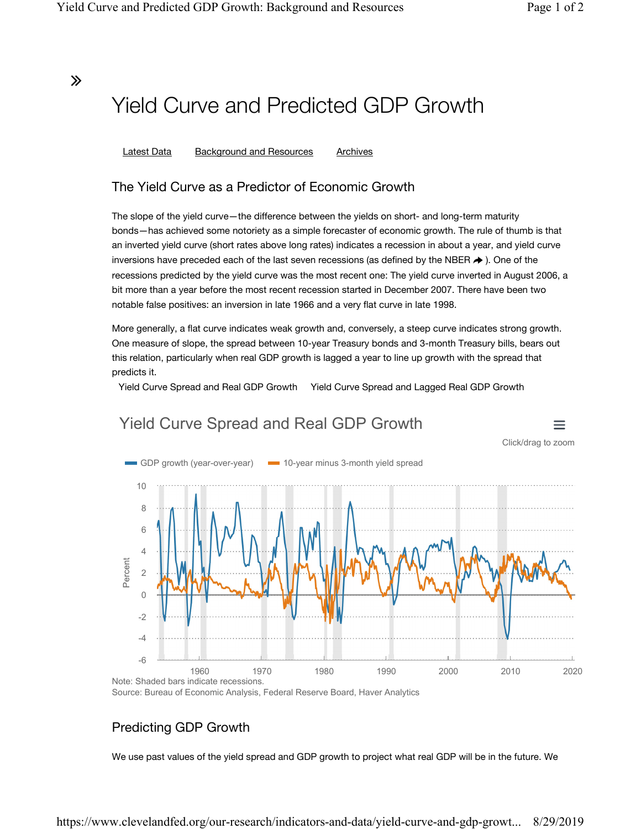∠

 $\equiv$ 

# Yield Curve and Predicted GDP Growth

Latest Data Background and Resources Archives

### The Yield Curve as a Predictor of Economic Growth

The slope of the yield curve—the difference between the yields on short- and long-term maturity bonds—has achieved some notoriety as a simple forecaster of economic growth. The rule of thumb is that an inverted yield curve (short rates above long rates) indicates a recession in about a year, and yield curve inversions have preceded each of the last seven recessions (as defined by the NBER  $\rightarrow$  ). One of the recessions predicted by the yield curve was the most recent one: The yield curve inverted in August 2006, a bit more than a year before the most recent recession started in December 2007. There have been two notable false positives: an inversion in late 1966 and a very flat curve in late 1998.

More generally, a flat curve indicates weak growth and, conversely, a steep curve indicates strong growth. One measure of slope, the spread between 10-year Treasury bonds and 3-month Treasury bills, bears out this relation, particularly when real GDP growth is lagged a year to line up growth with the spread that predicts it.

Yield Curve Spread and Real GDP Growth Yield Curve Spread and Lagged Real GDP Growth



# Yield Curve Spread and Real GDP Growth

Source: Bureau of Economic Analysis, Federal Reserve Board, Haver Analytics

### Predicting GDP Growth

We use past values of the yield spread and GDP growth to project what real GDP will be in the future. We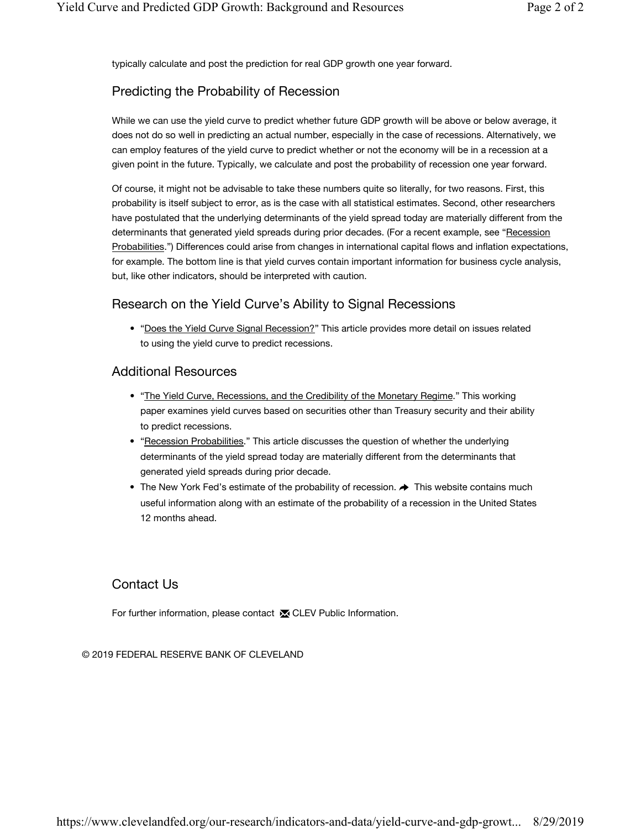typically calculate and post the prediction for real GDP growth one year forward.

### Predicting the Probability of Recession

While we can use the yield curve to predict whether future GDP growth will be above or below average, it does not do so well in predicting an actual number, especially in the case of recessions. Alternatively, we can employ features of the yield curve to predict whether or not the economy will be in a recession at a given point in the future. Typically, we calculate and post the probability of recession one year forward.

Of course, it might not be advisable to take these numbers quite so literally, for two reasons. First, this probability is itself subject to error, as is the case with all statistical estimates. Second, other researchers have postulated that the underlying determinants of the yield spread today are materially different from the determinants that generated yield spreads during prior decades. (For a recent example, see "Recession Probabilities.") Differences could arise from changes in international capital flows and inflation expectations, for example. The bottom line is that yield curves contain important information for business cycle analysis, but, like other indicators, should be interpreted with caution.

### Research on the Yield Curve's Ability to Signal Recessions

• "Does the Yield Curve Signal Recession?" This article provides more detail on issues related to using the yield curve to predict recessions.

### Additional Resources

- "The Yield Curve, Recessions, and the Credibility of the Monetary Regime." This working paper examines yield curves based on securities other than Treasury security and their ability to predict recessions.
- "Recession Probabilities." This article discusses the question of whether the underlying determinants of the yield spread today are materially different from the determinants that generated yield spreads during prior decade.
- The New York Fed's estimate of the probability of recession.  $\rightarrow$  This website contains much useful information along with an estimate of the probability of a recession in the United States 12 months ahead.

### Contact Us

For further information, please contact **in** CLEV Public Information.

© 2019 FEDERAL RESERVE BANK OF CLEVELAND